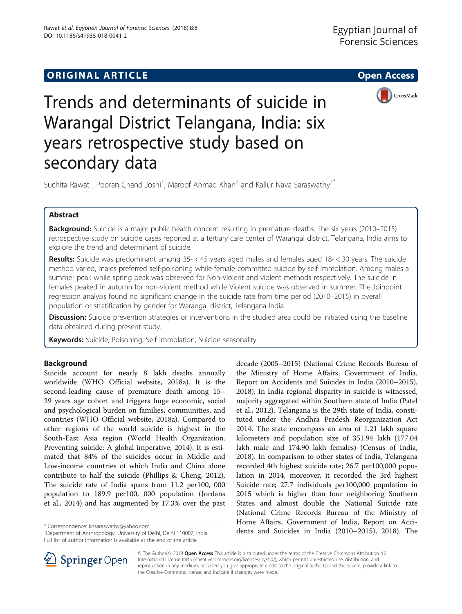

# Trends and determinants of suicide in Warangal District Telangana, India: six years retrospective study based on secondary data

Suchita Rawat<sup>1</sup>, Pooran Chand Joshi<sup>1</sup>, Maroof Ahmad Khan<sup>2</sup> and Kallur Nava Saraswathy<sup>1\*</sup>

# Abstract

Background: Suicide is a major public health concern resulting in premature deaths. The six years (2010–2015) retrospective study on suicide cases reported at a tertiary care center of Warangal district, Telangana, India aims to explore the trend and determinant of suicide.

Results: Suicide was predominant among 35- < 45 years aged males and females aged 18- < 30 years. The suicide method varied, males preferred self-poisoning while female committed suicide by self immolation. Among males a summer peak while spring peak was observed for Non-Violent and violent methods respectively. The suicide in females peaked in autumn for non-violent method while Violent suicide was observed in summer. The Joinpoint regression analysis found no significant change in the suicide rate from time period (2010–2015) in overall population or stratification by gender for Warangal district, Telangana India.

Discussion: Suicide prevention strategies or interventions in the studied area could be initiated using the baseline data obtained during present study.

**Keywords:** Suicide, Poisoning, Self immolation, Suicide seasonality

# Background

Suicide account for nearly 8 lakh deaths annually worldwide (WHO Official website, [2018a\)](#page-7-0). It is the second-leading cause of premature death among 15– 29 years age cohort and triggers huge economic, social and psychological burden on families, communities, and countries (WHO Official website, [2018a\)](#page-7-0). Compared to other regions of the world suicide is highest in the South-East Asia region (World Health Organization. Preventing suicide: A global imperative, [2014\)](#page-7-0). It is estimated that 84% of the suicides occur in Middle and Low-income countries of which India and China alone contribute to half the suicide (Phillips & Cheng, [2012](#page-7-0)). The suicide rate of India spans from 11.2 per100, 000 population to 189.9 per100, 000 population (Jordans et al., [2014\)](#page-7-0) and has augmented by 17.3% over the past

<sup>1</sup>Department of Anthropology, University of Delhi, Delhi 110007, India Full list of author information is available at the end of the article

decade (2005–2015) (National Crime Records Bureau of the Ministry of Home Affairs, Government of India, Report on Accidents and Suicides in India (2010–2015), [2018](#page-7-0)). In India regional disparity in suicide is witnessed, majority aggregated within Southern state of India (Patel et al., [2012\)](#page-7-0). Telangana is the 29th state of India, constituted under the Andhra Pradesh Reorganization Act 2014. The state encompass an area of 1.21 lakh square kilometers and population size of 351.94 lakh (177.04 lakh male and 174.90 lakh females) (Census of India, [2018](#page-7-0)). In comparison to other states of India, Telangana recorded 4th highest suicide rate; 26.7 per100,000 population in 2014, moreover, it recorded the 3rd highest Suicide rate; 27.7 individuals per100,000 population in 2015 which is higher than four neighboring Southern States and almost double the National Suicide rate (National Crime Records Bureau of the Ministry of Home Affairs, Government of India, Report on Acci-\* Correspondence: knsaraswathy@yahoo.com and the summary correspondence: knsaraswathy@yahoo.com and Suicides in India (2010–2015), [2018](#page-7-0)). The \* Correspondence: [knsaraswathy@yahoo.com](mailto:knsaraswathy@yahoo.com) dents and Suicides in India (2010–2015)



© The Author(s). 2018 Open Access This article is distributed under the terms of the Creative Commons Attribution 4.0 International License ([http://creativecommons.org/licenses/by/4.0/\)](http://creativecommons.org/licenses/by/4.0/), which permits unrestricted use, distribution, and reproduction in any medium, provided you give appropriate credit to the original author(s) and the source, provide a link to the Creative Commons license, and indicate if changes were made.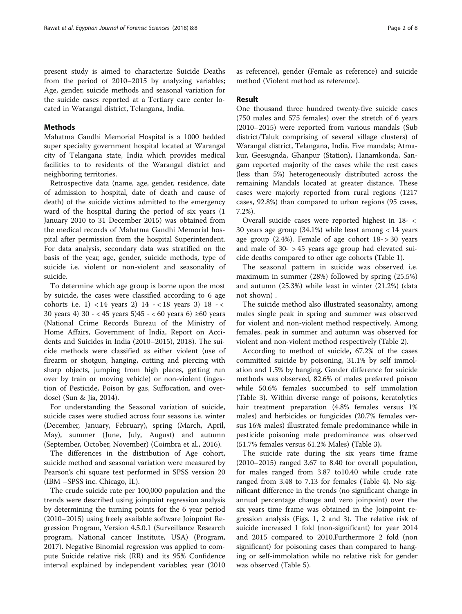present study is aimed to characterize Suicide Deaths from the period of 2010–2015 by analyzing variables; Age, gender, suicide methods and seasonal variation for the suicide cases reported at a Tertiary care center located in Warangal district, Telangana, India.

# Methods

Mahatma Gandhi Memorial Hospital is a 1000 bedded super specialty government hospital located at Warangal city of Telangana state, India which provides medical facilities to to residents of the Warangal district and neighboring territories.

Retrospective data (name, age, gender, residence, date of admission to hospital, date of death and cause of death) of the suicide victims admitted to the emergency ward of the hospital during the period of six years (1 January 2010 to 31 December 2015) was obtained from the medical records of Mahatma Gandhi Memorial hospital after permission from the hospital Superintendent. For data analysis, secondary data was stratified on the basis of the year, age, gender, suicide methods, type of suicide i.e. violent or non-violent and seasonality of suicide.

To determine which age group is borne upon the most by suicide, the cases were classified according to 6 age cohorts i.e. 1) < 14 years 2)  $14 - < 18$  years 3)  $18 - <$ 30 years 4) 30 - < 45 years 5)45 - < 60 years 6) ≥60 years (National Crime Records Bureau of the Ministry of Home Affairs, Government of India, Report on Accidents and Suicides in India (2010–2015), [2018\)](#page-7-0). The suicide methods were classified as either violent (use of firearm or shotgun, hanging, cutting and piercing with sharp objects, jumping from high places, getting run over by train or moving vehicle) or non-violent (ingestion of Pesticide, Poison by gas, Suffocation, and overdose) (Sun & Jia, [2014](#page-7-0)).

For understanding the Seasonal variation of suicide, suicide cases were studied across four seasons i.e. winter (December, January, February), spring (March, April, May), summer (June, July, August) and autumn (September, October, November) (Coimbra et al., [2016\)](#page-7-0).

The differences in the distribution of Age cohort, suicide method and seasonal variation were measured by Pearson's chi square test performed in SPSS version 20 (IBM –SPSS inc. Chicago, IL).

The crude suicide rate per 100,000 population and the trends were described using joinpoint regression analysis by determining the turning points for the 6 year period (2010–2015) using freely available software Joinpoint Regression Program, Version 4.5.0.1 (Surveillance Research program, National cancer Institute, USA) (Program, [2017](#page-7-0)). Negative Binomial regression was applied to compute Suicide relative risk (RR) and its 95% Confidence interval explained by independent variables; year (2010 as reference), gender (Female as reference) and suicide method (Violent method as reference).

# Result

One thousand three hundred twenty-five suicide cases (750 males and 575 females) over the stretch of 6 years (2010–2015) were reported from various mandals (Sub district/Taluk comprising of several village clusters) of Warangal district, Telangana, India. Five mandals; Atmakur, Geesugnda, Ghanpur (Station), Hanamkonda, Sangam reported majority of the cases while the rest cases (less than 5%) heterogeneously distributed across the remaining Mandals located at greater distance. These cases were majorly reported from rural regions (1217 cases, 92.8%) than compared to urban regions (95 cases, 7.2%).

Overall suicide cases were reported highest in 18- < 30 years age group (34.1%) while least among < 14 years age group  $(2.4\%)$ . Female of age cohort  $18 - > 30$  years and male of 30- > 45 years age group had elevated suicide deaths compared to other age cohorts (Table [1](#page-2-0)).

The seasonal pattern in suicide was observed i.e. maximum in summer (28%) followed by spring (25.5%) and autumn (25.3%) while least in winter (21.2%) (data not shown) .

The suicide method also illustrated seasonality, among males single peak in spring and summer was observed for violent and non-violent method respectively. Among females, peak in summer and autumn was observed for violent and non-violent method respectively (Table [2\)](#page-2-0).

According to method of suicide, 67.2% of the cases committed suicide by poisoning, 31.1% by self immolation and 1.5% by hanging. Gender difference for suicide methods was observed, 82.6% of males preferred poison while 50.6% females succumbed to self immolation (Table [3](#page-3-0)). Within diverse range of poisons, keratolytics hair treatment preparation (4.8% females versus 1% males) and herbicides or fungicides (20.7% females versus 16% males) illustrated female predominance while in pesticide poisoning male predominance was observed (51.7% females versus 61.2% Males) (Table [3](#page-3-0)).

The suicide rate during the six years time frame (2010–2015) ranged 3.67 to 8.40 for overall population, for males ranged from 3.87 to10.40 while crude rate ranged from 3.48 to 7.13 for females (Table [4](#page-3-0)). No significant difference in the trends (no significant change in annual percentage change and zero joinpoint) over the six years time frame was obtained in the Joinpoint regression analysis (Figs. [1](#page-4-0), [2](#page-4-0) and [3\)](#page-5-0). The relative risk of suicide increased 1 fold (non-significant) for year 2014 and 2015 compared to 2010.Furthermore 2 fold (non significant) for poisoning cases than compared to hanging or self-immolation while no relative risk for gender was observed (Table [5](#page-5-0)).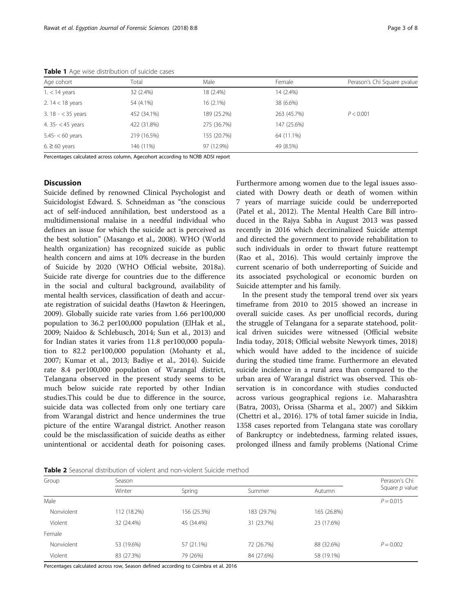| Age cohort           | Total       | Male        | Female      | Perason's Chi Square pvalue |
|----------------------|-------------|-------------|-------------|-----------------------------|
| $1. < 14$ years      | 32 (2.4%)   | 18 (2.4%)   | 14 (2.4%)   |                             |
| 2. $14 < 18$ years   | 54 (4.1%)   | $16(2.1\%)$ | 38 (6.6%)   |                             |
| 3. $18 - < 35$ years | 452 (34.1%) | 189 (25.2%) | 263 (45.7%) | P < 0.001                   |
| 4. $35 - < 45$ years | 422 (31.8%) | 275 (36.7%) | 147 (25.6%) |                             |
| $5.45 - < 60$ years  | 219 (16.5%) | 155 (20.7%) | 64 (11.1%)  |                             |
| $6. \ge 60$ years    | 146 (11%)   | 97 (12.9%)  | 49 (8.5%)   |                             |

<span id="page-2-0"></span>Table 1 Age wise distribution of suicide cases

Percentages calculated across column, Agecohort according to NCRB ADSI report

# **Discussion**

Suicide defined by renowned Clinical Psychologist and Suicidologist Edward. S. Schneidman as "the conscious act of self-induced annihilation, best understood as a multidimensional malaise in a needful individual who defines an issue for which the suicide act is perceived as the best solution" (Masango et al., [2008](#page-7-0)). WHO (World health organization) has recognized suicide as public health concern and aims at 10% decrease in the burden of Suicide by 2020 (WHO Official website, [2018a](#page-7-0)). Suicide rate diverge for countries due to the difference in the social and cultural background, availability of mental health services, classification of death and accurate registration of suicidal deaths (Hawton & Heeringen, [2009](#page-7-0)). Globally suicide rate varies from 1.66 per100,000 population to 36.2 per100,000 population (ElHak et al., [2009](#page-7-0); Naidoo & Schlebusch, [2014;](#page-7-0) Sun et al., [2013\)](#page-7-0) and for Indian states it varies from 11.8 per100,000 population to 82.2 per100,000 population (Mohanty et al., [2007](#page-7-0); Kumar et al., [2013](#page-7-0); Badiye et al., [2014\)](#page-7-0). Suicide rate 8.4 per100,000 population of Warangal district, Telangana observed in the present study seems to be much below suicide rate reported by other Indian studies.This could be due to difference in the source, suicide data was collected from only one tertiary care from Warangal district and hence undermines the true picture of the entire Warangal district. Another reason could be the misclassification of suicide deaths as either unintentional or accidental death for poisoning cases. Furthermore among women due to the legal issues associated with Dowry death or death of women within 7 years of marriage suicide could be underreported (Patel et al., [2012](#page-7-0)). The Mental Health Care Bill introduced in the Rajya Sabha in August 2013 was passed recently in 2016 which decriminalized Suicide attempt and directed the government to provide rehabilitation to such individuals in order to thwart future reattempt (Rao et al., [2016](#page-7-0)). This would certainly improve the current scenario of both underreporting of Suicide and its associated psychological or economic burden on Suicide attempter and his family.

In the present study the temporal trend over six years timeframe from 2010 to 2015 showed an increase in overall suicide cases. As per unofficial records, during the struggle of Telangana for a separate statehood, political driven suicides were witnessed (Official website India today, [2018](#page-7-0); Official website Newyork times, [2018](#page-7-0)) which would have added to the incidence of suicide during the studied time frame. Furthermore an elevated suicide incidence in a rural area than compared to the urban area of Warangal district was observed. This observation is in concordance with studies conducted across various geographical regions i.e. Maharashtra (Batra, [2003](#page-7-0)), Orissa (Sharma et al., [2007](#page-7-0)) and Sikkim (Chettri et al., [2016\)](#page-7-0). 17% of total famer suicide in India, 1358 cases reported from Telangana state was corollary of Bankruptcy or indebtedness, farming related issues, prolonged illness and family problems (National Crime

Table 2 Seasonal distribution of violent and non-violent Suicide method

| Group      | Season      | Perason's Chi |             |             |                |
|------------|-------------|---------------|-------------|-------------|----------------|
|            | Winter      | Spring        | Summer      | Autumn      | Square p value |
| Male       |             |               |             |             | $P = 0.015$    |
| Nonviolent | 112 (18.2%) | 156 (25.3%)   | 183 (29.7%) | 165 (26.8%) |                |
| Violent    | 32 (24.4%)  | 45 (34.4%)    | 31 (23.7%)  | 23 (17.6%)  |                |
| Female     |             |               |             |             |                |
| Nonviolent | 53 (19.6%)  | 57 (21.1%)    | 72 (26.7%)  | 88 (32.6%)  | $P = 0.002$    |
| Violent    | 83 (27.3%)  | 79 (26%)      | 84 (27.6%)  | 58 (19.1%)  |                |

Percentages calculated across row, Season defined according to Coimbra et al. 2016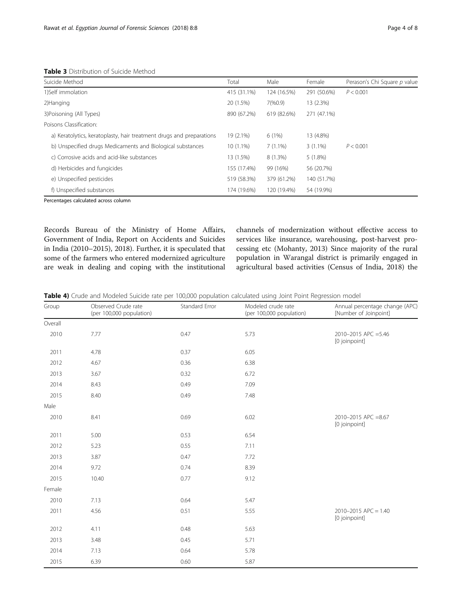| <b>TUDIE J</b> DISTINGUOTI OF SUIGIGE MICHIGA                        |             |             |             |                              |
|----------------------------------------------------------------------|-------------|-------------|-------------|------------------------------|
| Suicide Method                                                       | Total       | Male        | Female      | Perason's Chi Square p value |
| 1)Self immolation                                                    | 415 (31.1%) | 124 (16.5%) | 291 (50.6%) | P < 0.001                    |
| 2) Hanging                                                           | 20 (1.5%)   | 7(%0.9)     | 13 (2.3%)   |                              |
| 3)Poisoning (All Types)                                              | 890 (67.2%) | 619 (82.6%) | 271 (47.1%) |                              |
| Poisons Classification:                                              |             |             |             |                              |
| a) Keratolytics, keratoplasty, hair treatment drugs and preparations | 19 (2.1%)   | 6(1%)       | 13 (4.8%)   |                              |
| b) Unspecified drugs Medicaments and Biological substances           | $10(1.1\%)$ | $7(1.1\%)$  | $3(1.1\%)$  | P < 0.001                    |
| c) Corrosive acids and acid-like substances                          | 13 (1.5%)   | 8 (1.3%)    | $5(1.8\%)$  |                              |
| d) Herbicides and fungicides                                         | 155 (17.4%) | 99 (16%)    | 56 (20.7%)  |                              |
| e) Unspecified pesticides                                            | 519 (58.3%) | 379 (61.2%) | 140 (51.7%) |                              |
| f) Unspecified substances                                            | 174 (19.6%) | 120 (19.4%) | 54 (19.9%)  |                              |

<span id="page-3-0"></span>Table 3 Distribution of Suicide Method

Percentages calculated across column

Records Bureau of the Ministry of Home Affairs, Government of India, Report on Accidents and Suicides in India (2010–2015), [2018\)](#page-7-0). Further, it is speculated that some of the farmers who entered modernized agriculture are weak in dealing and coping with the institutional channels of modernization without effective access to services like insurance, warehousing, post-harvest processing etc (Mohanty, [2013](#page-7-0)) Since majority of the rural population in Warangal district is primarily engaged in agricultural based activities (Census of India, [2018](#page-7-0)) the

Table 4) Crude and Modeled Suicide rate per 100,000 population calculated using Joint Point Regression model

| Group   | Observed Crude rate<br>(per 100,000 population) | Standard Error | Modeled crude rate<br>(per 100,000 population) | Annual percentage change (APC)<br>[Number of Joinpoint] |
|---------|-------------------------------------------------|----------------|------------------------------------------------|---------------------------------------------------------|
| Overall |                                                 |                |                                                |                                                         |
| 2010    | 7.77                                            | 0.47           | 5.73                                           | 2010-2015 APC = 5.46<br>[0 joinpoint]                   |
| 2011    | 4.78                                            | 0.37           | 6.05                                           |                                                         |
| 2012    | 4.67                                            | 0.36           | 6.38                                           |                                                         |
| 2013    | 3.67                                            | 0.32           | 6.72                                           |                                                         |
| 2014    | 8.43                                            | 0.49           | 7.09                                           |                                                         |
| 2015    | 8.40                                            | 0.49           | 7.48                                           |                                                         |
| Male    |                                                 |                |                                                |                                                         |
| 2010    | 8.41                                            | 0.69           | 6.02                                           | 2010-2015 APC =8.67<br>[0 joinpoint]                    |
| 2011    | 5.00                                            | 0.53           | 6.54                                           |                                                         |
| 2012    | 5.23                                            | 0.55           | 7.11                                           |                                                         |
| 2013    | 3.87                                            | 0.47           | 7.72                                           |                                                         |
| 2014    | 9.72                                            | 0.74           | 8.39                                           |                                                         |
| 2015    | 10.40                                           | 0.77           | 9.12                                           |                                                         |
| Female  |                                                 |                |                                                |                                                         |
| 2010    | 7.13                                            | 0.64           | 5.47                                           |                                                         |
| 2011    | 4.56                                            | 0.51           | 5.55                                           | $2010 - 2015$ APC = 1.40<br>[0 joinpoint]               |
| 2012    | 4.11                                            | 0.48           | 5.63                                           |                                                         |
| 2013    | 3.48                                            | 0.45           | 5.71                                           |                                                         |
| 2014    | 7.13                                            | 0.64           | 5.78                                           |                                                         |
| 2015    | 6.39                                            | 0.60           | 5.87                                           |                                                         |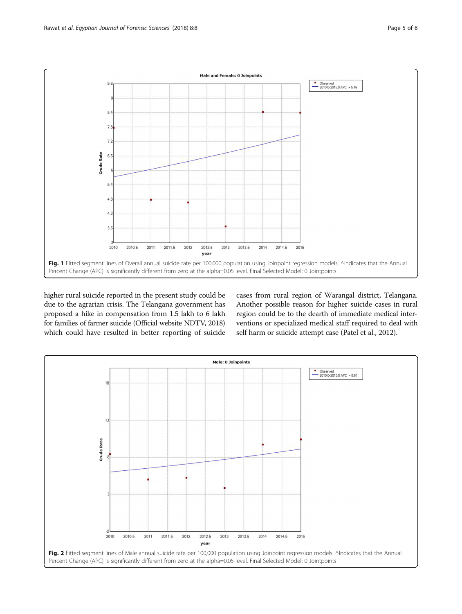<span id="page-4-0"></span>

higher rural suicide reported in the present study could be due to the agrarian crisis. The Telangana government has proposed a hike in compensation from 1.5 lakh to 6 lakh for families of farmer suicide (Official website NDTV, [2018](#page-7-0)) which could have resulted in better reporting of suicide

cases from rural region of Warangal district, Telangana. Another possible reason for higher suicide cases in rural region could be to the dearth of immediate medical interventions or specialized medical staff required to deal with self harm or suicide attempt case (Patel et al., [2012](#page-7-0)).

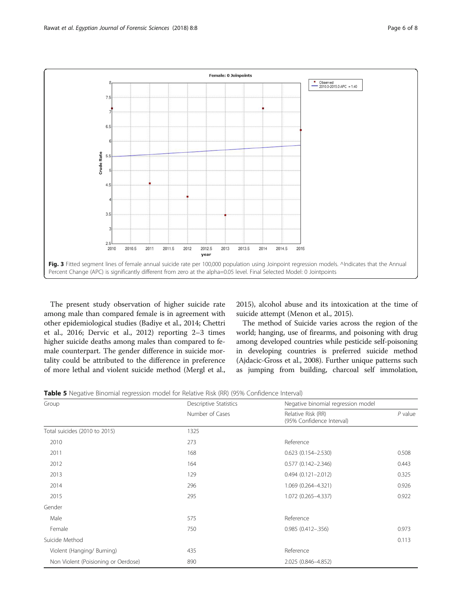<span id="page-5-0"></span>

The present study observation of higher suicide rate among male than compared female is in agreement with other epidemiological studies (Badiye et al., [2014;](#page-7-0) Chettri et al., [2016](#page-7-0); Dervic et al., [2012](#page-7-0)) reporting 2–3 times higher suicide deaths among males than compared to female counterpart. The gender difference in suicide mortality could be attributed to the difference in preference of more lethal and violent suicide method (Mergl et al.,

[2015](#page-7-0)), alcohol abuse and its intoxication at the time of suicide attempt (Menon et al., [2015](#page-7-0)).

The method of Suicide varies across the region of the world; hanging, use of firearms, and poisoning with drug among developed countries while pesticide self-poisoning in developing countries is preferred suicide method (Ajdacic-Gross et al., [2008](#page-7-0)). Further unique patterns such as jumping from building, charcoal self immolation,

Table 5 Negative Binomial regression model for Relative Risk (RR) (95% Confidence Interval)

| Group                               | Descriptive Statistics | Negative binomial regression model              |           |  |
|-------------------------------------|------------------------|-------------------------------------------------|-----------|--|
|                                     | Number of Cases        | Relative Risk (RR)<br>(95% Confidence Interval) | $P$ value |  |
| Total suicides (2010 to 2015)       | 1325                   |                                                 |           |  |
| 2010                                | 273                    | Reference                                       |           |  |
| 2011                                | 168                    | $0.623$ $(0.154 - 2.530)$                       | 0.508     |  |
| 2012                                | 164                    | $0.577(0.142 - 2.346)$                          | 0.443     |  |
| 2013                                | 129                    | $0.494(0.121 - 2.012)$                          | 0.325     |  |
| 2014                                | 296                    | 1.069 (0.264-4.321)                             | 0.926     |  |
| 2015                                | 295                    | 1.072 (0.265-4.337)                             | 0.922     |  |
| Gender                              |                        |                                                 |           |  |
| Male                                | 575                    | Reference                                       |           |  |
| Female                              | 750                    | $0.985(0.412 - 0.356)$                          | 0.973     |  |
| Suicide Method                      |                        |                                                 | 0.113     |  |
| Violent (Hanging/ Burning)          | 435                    | Reference                                       |           |  |
| Non Violent (Poisioning or Oerdose) | 890                    | 2.025 (0.846-4.852)                             |           |  |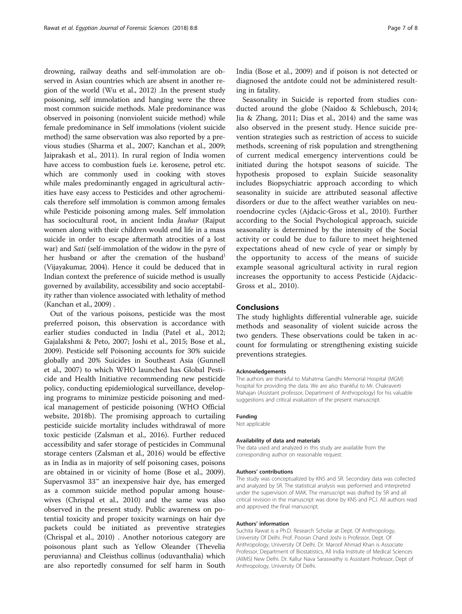drowning, railway deaths and self-immolation are observed in Asian countries which are absent in another region of the world (Wu et al., [2012\)](#page-7-0) .In the present study poisoning, self immolation and hanging were the three most common suicide methods. Male predominance was observed in poisoning (nonviolent suicide method) while female predominance in Self immolations (violent suicide method) the same observation was also reported by a previous studies (Sharma et al., [2007;](#page-7-0) Kanchan et al., [2009](#page-7-0); Jaiprakash et al., [2011](#page-7-0)). In rural region of India women have access to combustion fuels i.e. kerosene, petrol etc. which are commonly used in cooking with stoves while males predominantly engaged in agricultural activities have easy access to Pesticides and other agrochemicals therefore self immolation is common among females while Pesticide poisoning among males. Self immolation has sociocultural root, in ancient India Jauhar (Rajput women along with their children would end life in a mass suicide in order to escape aftermath atrocities of a lost war) and Sati (self-immolation of the widow in the pyre of her husband or after the cremation of the husband) (Vijayakumar, [2004](#page-7-0)). Hence it could be deduced that in Indian context the preference of suicide method is usually governed by availability, accessibility and socio acceptability rather than violence associated with lethality of method (Kanchan et al., [2009\)](#page-7-0) .

Out of the various poisons, pesticide was the most preferred poison, this observation is accordance with earlier studies conducted in India (Patel et al., [2012](#page-7-0); Gajalakshmi & Peto, [2007;](#page-7-0) Joshi et al., [2015;](#page-7-0) Bose et al., [2009](#page-7-0)). Pesticide self Poisoning accounts for 30% suicide globally and 20% Suicides in Southeast Asia (Gunnell et al., [2007\)](#page-7-0) to which WHO launched has Global Pesticide and Health Initiative recommending new pesticide policy, conducting epidemiological surveillance, developing programs to minimize pesticide poisoning and medical management of pesticide poisoning (WHO Official website, [2018b\)](#page-7-0). The promising approach to curtailing pesticide suicide mortality includes withdrawal of more toxic pesticide (Zalsman et al., [2016\)](#page-7-0). Further reduced accessibility and safer storage of pesticides in Communal storage centers (Zalsman et al., [2016\)](#page-7-0) would be effective as in India as in majority of self poisoning cases, poisons are obtained in or vicinity of home (Bose et al., [2009](#page-7-0)). Supervasmol 33™ an inexpensive hair dye, has emerged as a common suicide method popular among housewives (Chrispal et al., [2010](#page-7-0)) and the same was also observed in the present study. Public awareness on potential toxicity and proper toxicity warnings on hair dye packets could be initiated as preventive strategies (Chrispal et al., [2010\)](#page-7-0) . Another notorious category are poisonous plant such as Yellow Oleander (Thevelia peruvianna) and Cleisthus collinus (oduvanthalia) which are also reportedly consumed for self harm in South

India (Bose et al., [2009](#page-7-0)) and if poison is not detected or diagnosed the antdote could not be administered resulting in fatality.

Seasonality in Suicide is reported from studies conducted around the globe (Naidoo & Schlebusch, [2014](#page-7-0); Jia & Zhang, [2011;](#page-7-0) Dias et al., [2014\)](#page-7-0) and the same was also observed in the present study. Hence suicide prevention strategies such as restriction of access to suicide methods, screening of risk population and strengthening of current medical emergency interventions could be initiated during the hotspot seasons of suicide. The hypothesis proposed to explain Suicide seasonality includes Biopsychiatric approach according to which seasonality in suicide are attributed seasonal affective disorders or due to the affect weather variables on neuroendocrine cycles (Ajdacic-Gross et al., [2010](#page-7-0)). Further according to the Social Psychological approach, suicide seasonality is determined by the intensity of the Social activity or could be due to failure to meet heightened expectations ahead of new cycle of year or simply by the opportunity to access of the means of suicide example seasonal agricultural activity in rural region increases the opportunity to access Pesticide (Ajdacic-Gross et al., [2010\)](#page-7-0).

# Conclusions

The study highlights differential vulnerable age, suicide methods and seasonality of violent suicide across the two genders. These observations could be taken in account for formulating or strengthening existing suicide preventions strategies.

## Acknowledgements

The authors are thankful to Mahatma Gandhi Memorial Hospital (MGM) hospital for providing the data. We are also thankful to Mr. Chakraverti Mahajan (Assistant professor, Department of Anthropology) for his valuable suggestions and critical evaluation of the present manuscript.

## Funding

Not applicable

#### Availability of data and materials

The data used and analyzed in this study are available from the corresponding author on reasonable request.

#### Authors' contributions

The study was conceptualized by KNS and SR. Secondary data was collected and analyzed by SR. The statistical analysis was performed and interpreted under the supervision of MAK. The manuscript was drafted by SR and all critical revision in the manuscript was done by KNS and PCJ. All authors read and approved the final manuscript.

## Authors' information

Suchita Rawat is a Ph.D. Research Scholar at Dept. Of Anthropology, University Of Delhi. Prof. Pooran Chand Joshi is Professor, Dept. Of Anthropology, University Of Delhi. Dr. Maroof Ahmad Khan is Associate Professor, Department of Biostatistics, All India Institute of Medical Sciences (AIIMS) New Delhi. Dr. Kallur Nava Saraswathy is Assistant Professor, Dept of Anthropology, University Of Delhi.